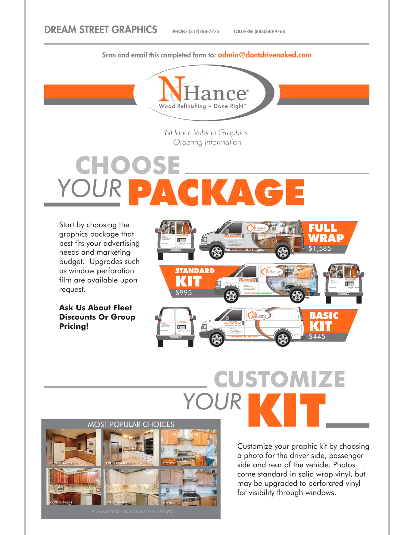Scan and email this completed form to: admin@dontdrivenaked.com



*NHance Vehicle Graphics Ordering Information*

## **CHOOSE** KAC E **DATE**

Start by choosing the graphics package that best fits your advertising needs and marketing budget. Upgrades such as window perforation film are available upon request.

**Ask Us About Fleet Discounts Or Group Pricing!**



## **CUSTOMIZE** YOUR



Customize your graphic kit by choosing a photo for the driver side, passenger side and rear of the vehicle. Photos come standard in solid wrap vinyl, but may be upgraded to perforated vinyl for visibility through windows.